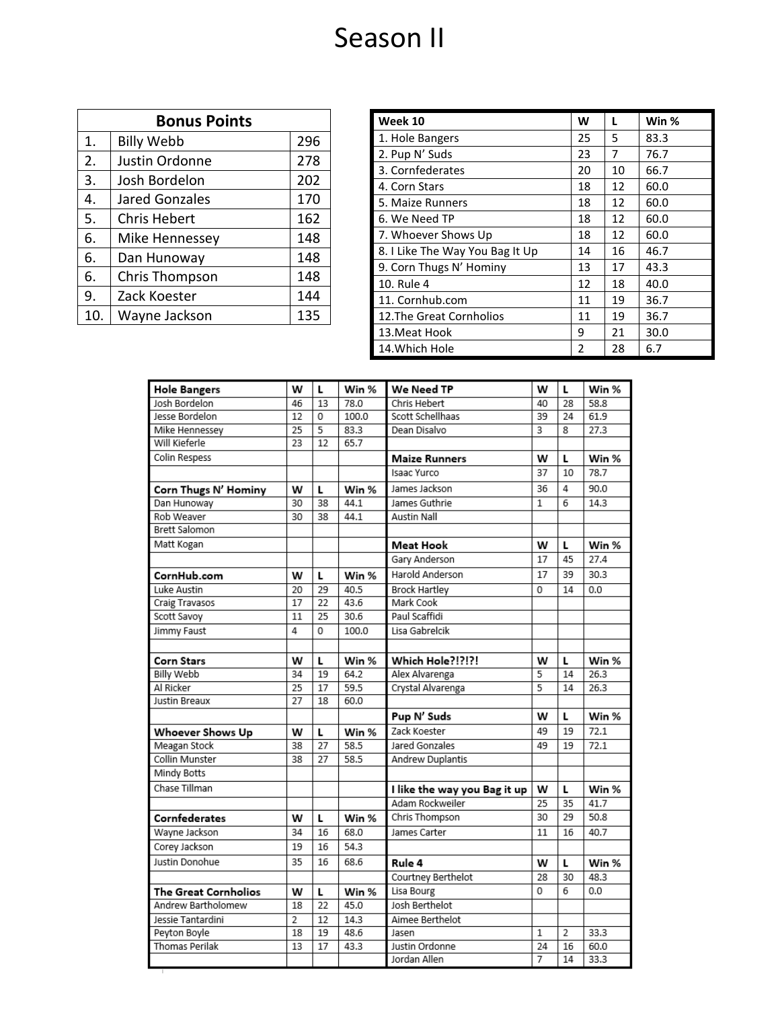## Season II

| <b>Bonus Points</b> |                   |     |  |  |
|---------------------|-------------------|-----|--|--|
| 1.                  | <b>Billy Webb</b> | 296 |  |  |
| 2.                  | Justin Ordonne    | 278 |  |  |
| 3.                  | Josh Bordelon     | 202 |  |  |
| 4.                  | Jared Gonzales    | 170 |  |  |
| 5.                  | Chris Hebert      | 162 |  |  |
| 6.                  | Mike Hennessey    | 148 |  |  |
| 6.                  | Dan Hunoway       | 148 |  |  |
| 6.                  | Chris Thompson    | 148 |  |  |
| 9.                  | Zack Koester      | 144 |  |  |
| 10.                 | Wayne Jackson     | 135 |  |  |

| Week 10                         | W  | L  | Win % |
|---------------------------------|----|----|-------|
| 1. Hole Bangers                 | 25 | 5  | 83.3  |
| 2. Pup N' Suds                  | 23 | 7  | 76.7  |
| 3. Cornfederates                | 20 | 10 | 66.7  |
| 4. Corn Stars                   | 18 | 12 | 60.0  |
| 5. Maize Runners                | 18 | 12 | 60.0  |
| 6. We Need TP                   | 18 | 12 | 60.0  |
| 7. Whoever Shows Up             | 18 | 12 | 60.0  |
| 8. I Like The Way You Bag It Up | 14 | 16 | 46.7  |
| 9. Corn Thugs N' Hominy         | 13 | 17 | 43.3  |
| 10. Rule 4                      | 12 | 18 | 40.0  |
| 11. Cornhub.com                 | 11 | 19 | 36.7  |
| 12. The Great Cornholios        | 11 | 19 | 36.7  |
| 13. Meat Hook                   | 9  | 21 | 30.0  |
| 14. Which Hole                  | 2  | 28 | 6.7   |

| <b>Hole Bangers</b>   | W               | L  | Win % | We Need TP                         | W            | L    | Win % |
|-----------------------|-----------------|----|-------|------------------------------------|--------------|------|-------|
| Josh Bordelon         | 46              | 13 | 78.0  | Chris Hebert                       |              | 28   | 58.8  |
| Jesse Bordelon        | 12              | 0  | 100.0 | 40<br>Scott Schellhaas<br>39<br>24 |              | 61.9 |       |
| Mike Hennessey        | 25              | 5  | 83.3  | 3<br>Dean Disalvo                  |              | 8    | 27.3  |
| Will Kieferle         | 23              | 12 | 65.7  |                                    |              |      |       |
| Colin Respess         |                 |    |       | <b>Maize Runners</b>               |              | L    | Win % |
|                       |                 |    |       | Isaac Yurco                        | 37           | 10   | 78.7  |
| Corn Thugs N' Hominy  | w               | L  | Win % | James Jackson                      | 36           | 4    | 90.0  |
| Dan Hunoway           | 30              | 38 | 44.1  | James Guthrie                      | $\mathbf{1}$ | 6    | 14.3  |
| Rob Weaver            | 30              | 38 | 44.1  | <b>Austin Nall</b>                 |              |      |       |
| <b>Brett Salomon</b>  |                 |    |       |                                    |              |      |       |
| Matt Kogan            |                 |    |       | Meat Hook                          | w            | L    | Win % |
|                       |                 |    |       | Gary Anderson                      | 17           | 45   | 27.4  |
| CornHub.com           | W               | L  | Win % | Harold Anderson                    | 17           | 39   | 30.3  |
| Luke Austin           | 20              | 29 | 40.5  | <b>Brock Hartley</b>               | 0            | 14   | 0.0   |
| Craig Travasos        | 17              | 22 | 43.6  | Mark Cook                          |              |      |       |
| Scott Savoy           | 11              | 25 | 30.6  | Paul Scaffidi                      |              |      |       |
| Jimmy Faust           | 4               | 0  | 100.0 | Lisa Gabrelcik                     |              |      |       |
|                       |                 |    |       |                                    |              |      |       |
| Corn Stars            | w               | Г  | Win % | Which Hole?!?!?!                   | w            | L    | Win % |
| <b>Billy Webb</b>     | 34              | 19 | 64.2  | Alex Alvarenga                     | 5            | 14   | 26.3  |
| Al Ricker             | $\overline{25}$ | 17 | 59.5  | Crystal Alvarenga                  |              | 14   | 26.3  |
| Justin Breaux         | 27              | 18 | 60.0  |                                    |              |      |       |
|                       |                 |    |       | Pup N' Suds                        | w            | L    | Win % |
| Whoever Shows Up      | w               | L  | Win % | Zack Koester                       | 49           | 19   | 72.1  |
| Meagan Stock          | 38              | 27 | 58.5  | Jared Gonzales                     | 49           | 19   | 72.1  |
| <b>Collin Munster</b> | 38              | 27 | 58.5  | Andrew Duplantis                   |              |      |       |
| Mindy Botts           |                 |    |       |                                    |              |      |       |
| Chase Tillman         |                 |    |       | I like the way you Bag it up       | w            | L    | Win % |
|                       |                 |    |       | Adam Rockweiler                    | 25           | 35   | 41.7  |
| Cornfederates         | w               | L  | Win % | Chris Thompson                     | 30           | 29   | 50.8  |
| Wayne Jackson         | 34              | 16 | 68.0  | James Carter                       | 11           | 16   | 40.7  |
| Corey Jackson         | 19              | 16 | 54.3  |                                    |              |      |       |
| Justin Donohue        | 35              | 16 | 68.6  | Rule 4                             | w            | L    | Win % |
|                       |                 |    |       | Courtney Berthelot                 | 28           | 30   | 48.3  |
| The Great Cornholios  | w               | L  | Win % | Lisa Bourg                         | 0            | 6    | 0.0   |
| Andrew Bartholomew    | 18              | 22 | 45.0  | Josh Berthelot                     |              |      |       |
| Jessie Tantardini     | $\overline{2}$  | 12 | 14.3  | Aimee Berthelot                    |              |      |       |
| Peyton Boyle          | 18              | 19 | 48.6  | 33.3<br>Jasen<br>$\mathbf{1}$<br>2 |              |      |       |
| <b>Thomas Perilak</b> | 13              | 17 | 43.3  | Justin Ordonne                     | 24           | 16   | 60.0  |
|                       |                 |    |       | Jordan Allen                       | 7            | 14   | 33.3  |